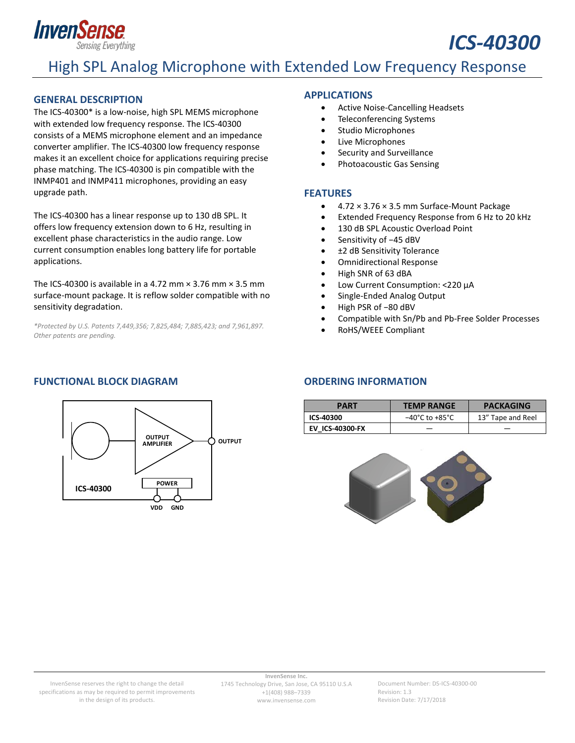

# High SPL Analog Microphone with Extended Low Frequency Response

#### <span id="page-0-0"></span>**GENERAL DESCRIPTION**

The ICS-40300\* is a low-noise, high SPL MEMS microphone with extended low frequency response. The ICS-40300 consists of a MEMS microphone element and an impedance converter amplifier. The ICS-40300 low frequency response makes it an excellent choice for applications requiring precise phase matching. The ICS-40300 is pin compatible with the INMP401 and INMP411 microphones, providing an easy upgrade path.

The ICS-40300 has a linear response up to 130 dB SPL. It offers low frequency extension down to 6 Hz, resulting in excellent phase characteristics in the audio range. Low current consumption enables long battery life for portable applications.

The ICS-40300 is available in a 4.72 mm  $\times$  3.76 mm  $\times$  3.5 mm surface-mount package. It is reflow solder compatible with no sensitivity degradation.

*\*Protected by U.S. Patents 7,449,356; 7,825,484; 7,885,423; and 7,961,897. Other patents are pending.*

#### <span id="page-0-3"></span>**FUNCTIONAL BLOCK DIAGRAM ORDERING INFORMATION**



#### <span id="page-0-1"></span>**APPLICATIONS**

- Active Noise-Cancelling Headsets
- Teleconferencing Systems
- Studio Microphones
- Live Microphones
- Security and Surveillance
- Photoacoustic Gas Sensing

#### <span id="page-0-2"></span>**FEATURES**

- 4.72 × 3.76 × 3.5 mm Surface-Mount Package
- Extended Frequency Response from 6 Hz to 20 kHz

*ICS-40300*

- 130 dB SPL Acoustic Overload Point
- Sensitivity of −45 dBV
- ±2 dB Sensitivity Tolerance
- Omnidirectional Response
- High SNR of 63 dBA
- Low Current Consumption: <220 µA
- Single-Ended Analog Output
- High PSR of −80 dBV
- Compatible with Sn/Pb and Pb-Free Solder Processes
- RoHS/WEEE Compliant

<span id="page-0-4"></span>

| PART                   | <b>TEMP RANGE</b>                  | <b>PACKAGING</b>  |  |
|------------------------|------------------------------------|-------------------|--|
| ICS-40300              | $-40^{\circ}$ C to $+85^{\circ}$ C | 13" Tape and Reel |  |
| <b>EV ICS-40300-FX</b> |                                    |                   |  |



**InvenSense Inc.** 1745 Technology Drive, San Jose, CA 95110 U.S.A +1(408) 988–7339 www.invensense.com

Document Number: DS-ICS-40300-00 Revision: 1.3 Revision Date: 7/17/2018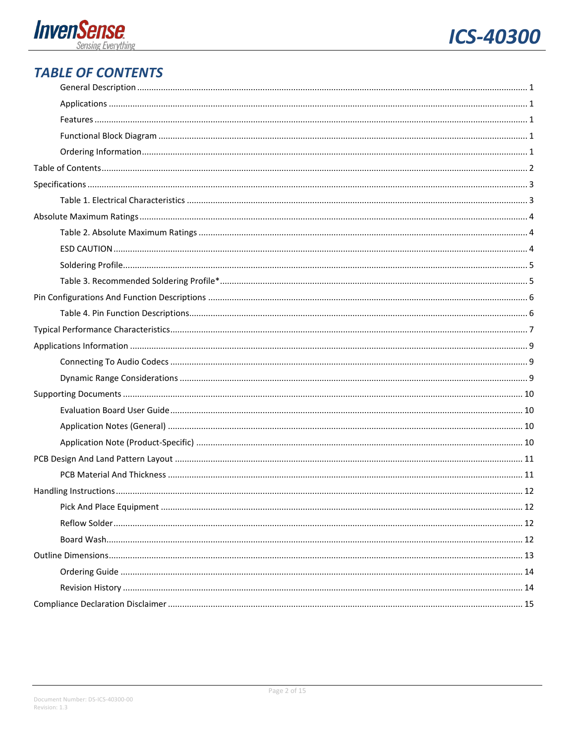



## <span id="page-1-0"></span>**TABLE OF CONTENTS**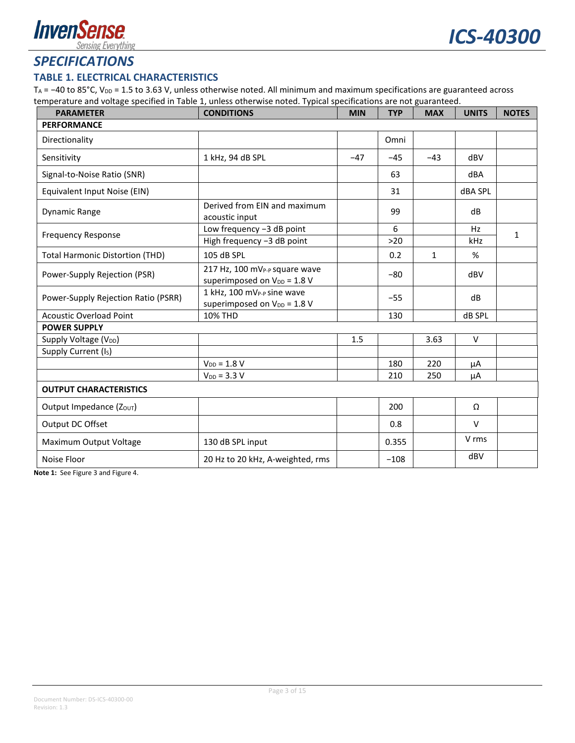

### <span id="page-2-0"></span>*SPECIFICATIONS*

#### <span id="page-2-1"></span>**TABLE 1. ELECTRICAL CHARACTERISTICS**

TA = −40 to 85°C, V<sub>DD</sub> = 1.5 to 3.63 V, unless otherwise noted. All minimum and maximum specifications are guaranteed across temperature and voltage specified in [Table](#page-2-1) 1, unless otherwise noted. Typical specifications are not guaranteed.

| <b>PARAMETER</b>                                                       | <b>CONDITIONS</b>                                                                    |       | <b>TYP</b> | <b>MAX</b>   | <b>UNITS</b>   | <b>NOTES</b> |
|------------------------------------------------------------------------|--------------------------------------------------------------------------------------|-------|------------|--------------|----------------|--------------|
| <b>PERFORMANCE</b>                                                     |                                                                                      |       |            |              |                |              |
| Directionality                                                         |                                                                                      |       | Omni       |              |                |              |
| Sensitivity                                                            | 1 kHz, 94 dB SPL                                                                     | $-47$ | $-45$      | $-43$        | dBV            |              |
| Signal-to-Noise Ratio (SNR)                                            |                                                                                      |       | 63         |              | dBA            |              |
| Equivalent Input Noise (EIN)                                           |                                                                                      |       | 31         |              | <b>dBA SPL</b> |              |
| Derived from EIN and maximum<br><b>Dynamic Range</b><br>acoustic input |                                                                                      |       | 99         |              | dB             |              |
| <b>Frequency Response</b>                                              | Low frequency -3 dB point                                                            |       | 6          |              | Hz             | 1            |
|                                                                        | High frequency -3 dB point                                                           |       | $>20$      |              | kHz            |              |
| <b>Total Harmonic Distortion (THD)</b>                                 | 105 dB SPL                                                                           |       | 0.2        | $\mathbf{1}$ | %              |              |
| Power-Supply Rejection (PSR)                                           | 217 Hz, 100 mV <sub>P-P</sub> square wave<br>superimposed on V <sub>DD</sub> = 1.8 V |       | $-80$      |              | dBV            |              |
| Power-Supply Rejection Ratio (PSRR)                                    | 1 kHz, 100 mV <sub>P-P</sub> sine wave<br>superimposed on $V_{DD} = 1.8 V$           |       | $-55$      |              | dB             |              |
| <b>Acoustic Overload Point</b><br><b>10% THD</b>                       |                                                                                      |       | 130        |              | dB SPL         |              |
| <b>POWER SUPPLY</b>                                                    |                                                                                      |       |            |              |                |              |
| Supply Voltage (V <sub>DD</sub> )                                      |                                                                                      | 1.5   |            | 3.63         | $\vee$         |              |
| Supply Current (Is)                                                    |                                                                                      |       |            |              |                |              |
|                                                                        | $V_{DD} = 1.8 V$                                                                     |       | 180        | 220          | μA             |              |
|                                                                        | $V_{DD} = 3.3 V$                                                                     |       | 210        | 250          | μA             |              |
| <b>OUTPUT CHARACTERISTICS</b>                                          |                                                                                      |       |            |              |                |              |
| Output Impedance (Ζουτ)                                                |                                                                                      |       | 200        |              | Ω              |              |
| Output DC Offset                                                       |                                                                                      |       | 0.8        |              | $\vee$         |              |
| Maximum Output Voltage                                                 | 130 dB SPL input                                                                     |       | 0.355      |              | V rms          |              |
| Noise Floor<br>20 Hz to 20 kHz, A-weighted, rms                        |                                                                                      |       | $-108$     |              | dBV            |              |

**Note 1:** Se[e Figure 3](#page-6-1) an[d Figure 4.](#page-6-2)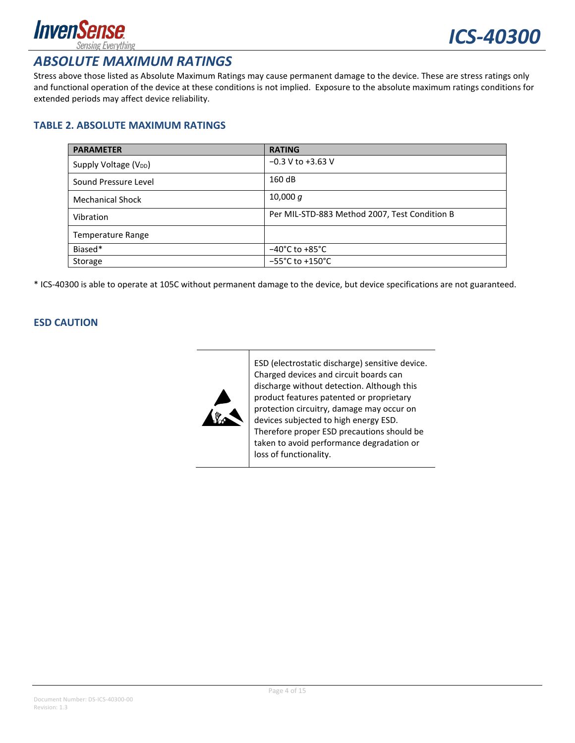

### <span id="page-3-0"></span>*ABSOLUTE MAXIMUM RATINGS*

Stress above those listed as Absolute Maximum Ratings may cause permanent damage to the device. These are stress ratings only and functional operation of the device at these conditions is not implied. Exposure to the absolute maximum ratings conditions for extended periods may affect device reliability.

#### <span id="page-3-1"></span>**TABLE 2. ABSOLUTE MAXIMUM RATINGS**

| <b>PARAMETER</b>                  | <b>RATING</b>                                 |
|-----------------------------------|-----------------------------------------------|
| Supply Voltage (V <sub>DD</sub> ) | $-0.3$ V to $+3.63$ V                         |
| Sound Pressure Level              | 160 dB                                        |
| <b>Mechanical Shock</b>           | 10,000 $q$                                    |
| Vibration                         | Per MIL-STD-883 Method 2007, Test Condition B |
| <b>Temperature Range</b>          |                                               |
| Biased*                           | $-40^{\circ}$ C to $+85^{\circ}$ C            |
| Storage                           | $-55^{\circ}$ C to +150 $^{\circ}$ C          |

\* ICS-40300 is able to operate at 105C without permanent damage to the device, but device specifications are not guaranteed.

#### <span id="page-3-2"></span>**ESD CAUTION**



ESD (electrostatic discharge) sensitive device. Charged devices and circuit boards can discharge without detection. Although this product features patented or proprietary protection circuitry, damage may occur on devices subjected to high energy ESD. Therefore proper ESD precautions should be taken to avoid performance degradation or loss of functionality.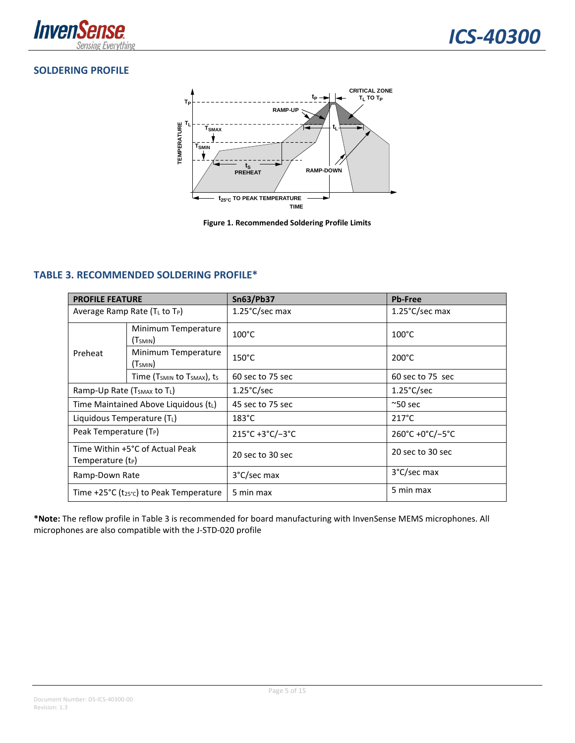

### <span id="page-4-0"></span>**SOLDERING PROFILE**



**Figure 1. Recommended Soldering Profile Limits**

#### <span id="page-4-2"></span><span id="page-4-1"></span>**TABLE 3. RECOMMENDED SOLDERING PROFILE\***

| <b>PROFILE FEATURE</b>                                           |                                                    | <b>Sn63/Pb37</b>     | <b>Pb-Free</b>       |  |
|------------------------------------------------------------------|----------------------------------------------------|----------------------|----------------------|--|
| Average Ramp Rate $(T_L$ to $T_P)$                               |                                                    | 1.25°C/sec max       | 1.25°C/sec max       |  |
| Preheat                                                          | Minimum Temperature<br>(Tsmin)                     | $100^{\circ}$ C      | $100^{\circ}$ C      |  |
|                                                                  | Minimum Temperature<br>(Tsmin)                     | $150^{\circ}$ C      | $200^{\circ}$ C      |  |
|                                                                  | Time (T <sub>SMIN</sub> to T <sub>SMAX</sub> ), ts | 60 sec to 75 sec     | 60 sec to 75 sec     |  |
| Ramp-Up Rate (T <sub>SMAX</sub> to T <sub>L</sub> )              |                                                    | $1.25^{\circ}$ C/sec | $1.25^{\circ}$ C/sec |  |
| Time Maintained Above Liquidous (tL)                             |                                                    | 45 sec to 75 sec     | $^{\sim}50$ sec      |  |
| Liquidous Temperature $(T_L)$                                    |                                                    | $183^{\circ}$ C      | $217^{\circ}$ C      |  |
| Peak Temperature (T <sub>P</sub> )                               |                                                    | 215°C+3°C/-3°C       | 260°C +0°C/-5°C      |  |
| Time Within +5°C of Actual Peak<br>Temperature (t <sub>P</sub> ) |                                                    | 20 sec to 30 sec     | 20 sec to 30 sec     |  |
| Ramp-Down Rate                                                   |                                                    | 3°C/sec max          | 3°C/sec max          |  |
| Time +25°C ( $t_{25}$ °c) to Peak Temperature                    |                                                    | 5 min max            | 5 min max            |  |

**\*Note:** The reflow profile in [Table 3](#page-4-1) is recommended for board manufacturing with InvenSense MEMS microphones. All microphones are also compatible with the J-STD-020 profile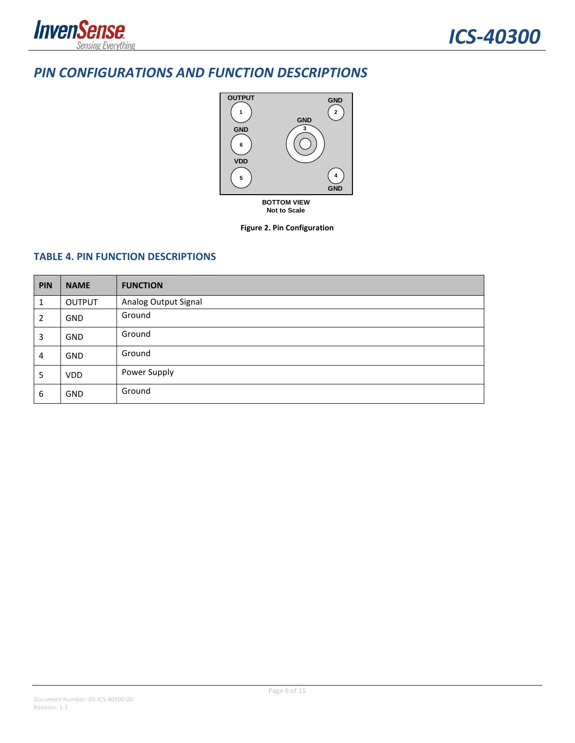

### <span id="page-5-0"></span>*PIN CONFIGURATIONS AND FUNCTION DESCRIPTIONS*



**Not to Scale**

**Figure 2. Pin Configuration**

#### <span id="page-5-1"></span>**TABLE 4. PIN FUNCTION DESCRIPTIONS**

| PIN | <b>NAME</b>   | <b>FUNCTION</b>      |
|-----|---------------|----------------------|
| 1   | <b>OUTPUT</b> | Analog Output Signal |
| 2   | <b>GND</b>    | Ground               |
| 3   | GND           | Ground               |
| 4   | GND           | Ground               |
| 5   | <b>VDD</b>    | Power Supply         |
| 6   | <b>GND</b>    | Ground               |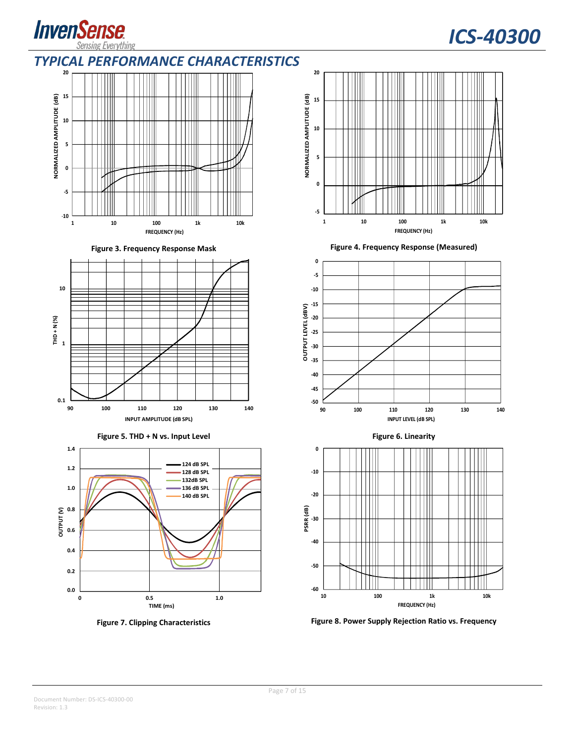

# *ICS-40300*

### <span id="page-6-0"></span>*TYPICAL PERFORMANCE CHARACTERISTICS*



<span id="page-6-1"></span>

**Figure 5. THD + N vs. Input Level Figure 6. Linearity**





**Figure 3. Frequency Response Mask Figure 4. Frequency Response (Measured)**

<span id="page-6-2"></span>





**Figure 7. Clipping Characteristics Figure 8. Power Supply Rejection Ratio vs. Frequency**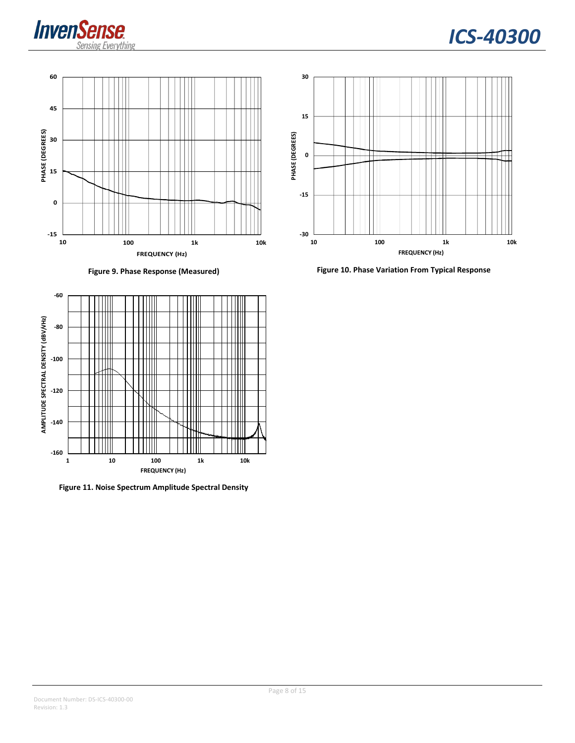







**Figure 11. Noise Spectrum Amplitude Spectral Density**



**Figure 9. Phase Response (Measured) Figure 10. Phase Variation From Typical Response**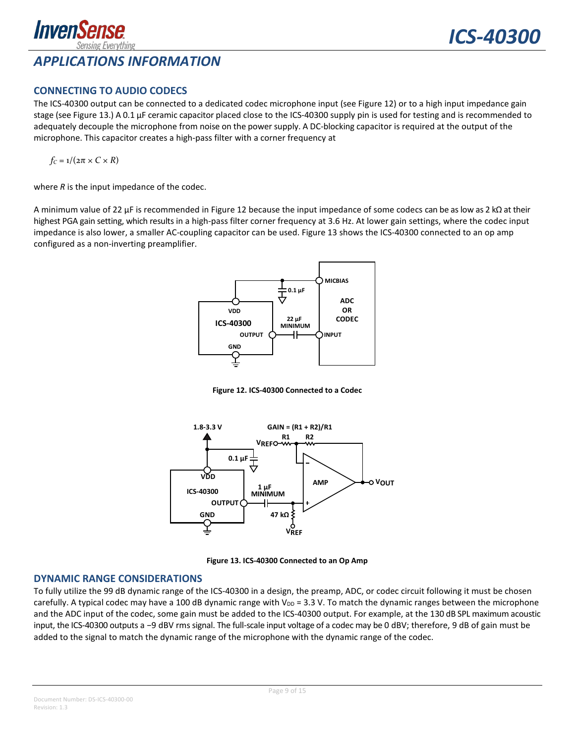

#### <span id="page-8-1"></span><span id="page-8-0"></span>**CONNECTING TO AUDIO CODECS**

The ICS-40300 output can be connected to a dedicated codec microphone input (see [Figure 12\)](#page-8-3) or to a high input impedance gain stage (see [Figure 13.](#page-8-4)) A 0.1 µF ceramic capacitor placed close to the ICS-40300 supply pin is used for testing and is recommended to adequately decouple the microphone from noise on the power supply. A DC-blocking capacitor is required at the output of the microphone. This capacitor creates a high-pass filter with a corner frequency at

$$
f_C = 1/(2\pi \times C \times R)
$$

where *R* is the input impedance of the codec.

A minimum value of 22 µF is recommended in [Figure 12](#page-8-3) because the input impedance of some codecs can be as low as 2 kΩ at their highest PGA gain setting, which results in a high-pass filter corner frequency at 3.6 Hz. At lower gain settings, where the codec input impedance is also lower, a smaller AC-coupling capacitor can be used[. Figure 13](#page-8-4) shows the ICS-40300 connected to an op amp configured as a non-inverting preamplifier.



**Figure 12. ICS-40300 Connected to a Codec**

<span id="page-8-3"></span>

**Figure 13. ICS-40300 Connected to an Op Amp**

#### <span id="page-8-4"></span><span id="page-8-2"></span>**DYNAMIC RANGE CONSIDERATIONS**

To fully utilize the 99 dB dynamic range of the ICS-40300 in a design, the preamp, ADC, or codec circuit following it must be chosen carefully. A typical codec may have a 100 dB dynamic range with  $V_{DD} = 3.3$  V. To match the dynamic ranges between the microphone and the ADC input of the codec, some gain must be added to the ICS-40300 output. For example, at the 130 dB SPL maximum acoustic input, the ICS-40300 outputs a −9 dBV rms signal. The full-scale input voltage of a codec may be 0 dBV; therefore, 9 dB of gain must be added to the signal to match the dynamic range of the microphone with the dynamic range of the codec.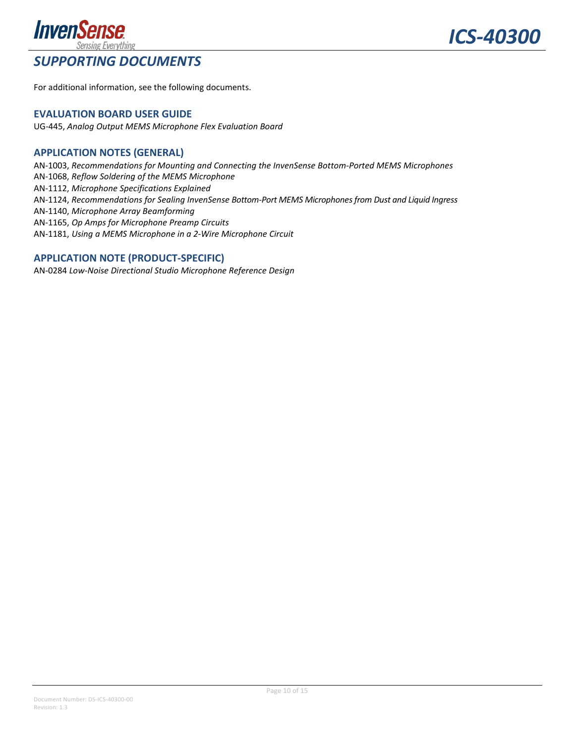

## <span id="page-9-0"></span>*SUPPORTING DOCUMENTS*

*ICS-40300*

For additional information, see the following documents.

#### <span id="page-9-1"></span>**EVALUATION BOARD USER GUIDE**

UG-445, *Analog Output MEMS Microphone Flex Evaluation Board*

#### <span id="page-9-2"></span>**APPLICATION NOTES (GENERAL)**

AN-1003, *Recommendations for Mounting and Connecting the InvenSense Bottom-Ported MEMS Microphones* AN-1068, *Reflow Soldering of the MEMS Microphone* AN-1112, *Microphone Specifications Explained* AN-1124, *Recommendations for Sealing InvenSense Bottom-Port MEMS Microphones from Dust and Liquid Ingress* AN-1140, *Microphone Array Beamforming* AN-1165, *Op Amps for Microphone Preamp Circuits* AN-1181, *Using a MEMS Microphone in a 2-Wire Microphone Circuit*

### <span id="page-9-3"></span>**APPLICATION NOTE (PRODUCT-SPECIFIC)**

AN-0284 *Low-Noise Directional Studio Microphone Reference Design*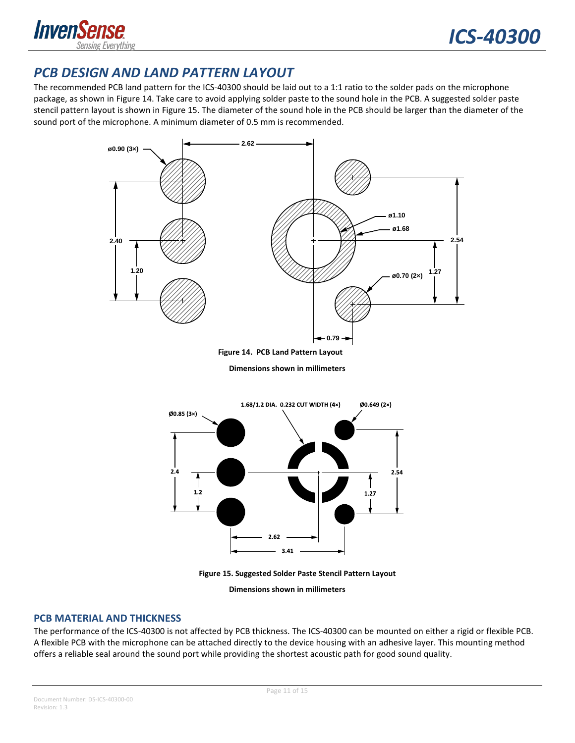

## <span id="page-10-0"></span>*PCB DESIGN AND LAND PATTERN LAYOUT*

The recommended PCB land pattern for the ICS-40300 should be laid out to a 1:1 ratio to the solder pads on the microphone package, as shown in Figure 14. Take care to avoid applying solder paste to the sound hole in the PCB. A suggested solder paste stencil pattern layout is shown in Figure 15. The diameter of the sound hole in the PCB should be larger than the diameter of the sound port of the microphone. A minimum diameter of 0.5 mm is recommended.



**Figure 14. PCB Land Pattern Layout**

**Dimensions shown in millimeters**



**Figure 15. Suggested Solder Paste Stencil Pattern Layout**

**Dimensions shown in millimeters**

#### <span id="page-10-1"></span>**PCB MATERIAL AND THICKNESS**

The performance of the ICS-40300 is not affected by PCB thickness. The ICS-40300 can be mounted on either a rigid or flexible PCB. A flexible PCB with the microphone can be attached directly to the device housing with an adhesive layer. This mounting method offers a reliable seal around the sound port while providing the shortest acoustic path for good sound quality.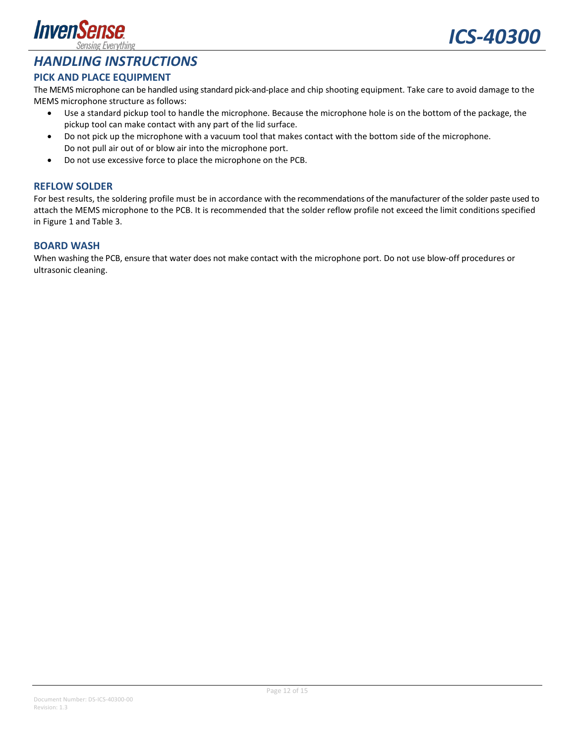



### <span id="page-11-0"></span>*HANDLING INSTRUCTIONS*

#### <span id="page-11-1"></span>**PICK AND PLACE EQUIPMENT**

The MEMS microphone can be handled using standard pick-and-place and chip shooting equipment. Take care to avoid damage to the MEMS microphone structure as follows:

- Use a standard pickup tool to handle the microphone. Because the microphone hole is on the bottom of the package, the pickup tool can make contact with any part of the lid surface.
- Do not pick up the microphone with a vacuum tool that makes contact with the bottom side of the microphone. Do not pull air out of or blow air into the microphone port.
- Do not use excessive force to place the microphone on the PCB.

#### <span id="page-11-2"></span>**REFLOW SOLDER**

For best results, the soldering profile must be in accordance with the recommendations of the manufacturer of the solder paste used to attach the MEMS microphone to the PCB. It is recommended that the solder reflow profile not exceed the limit conditions specified in [Figure 1](#page-4-2) and [Table 3.](#page-4-1)

#### <span id="page-11-3"></span>**BOARD WASH**

When washing the PCB, ensure that water does not make contact with the microphone port. Do not use blow-off procedures or ultrasonic cleaning.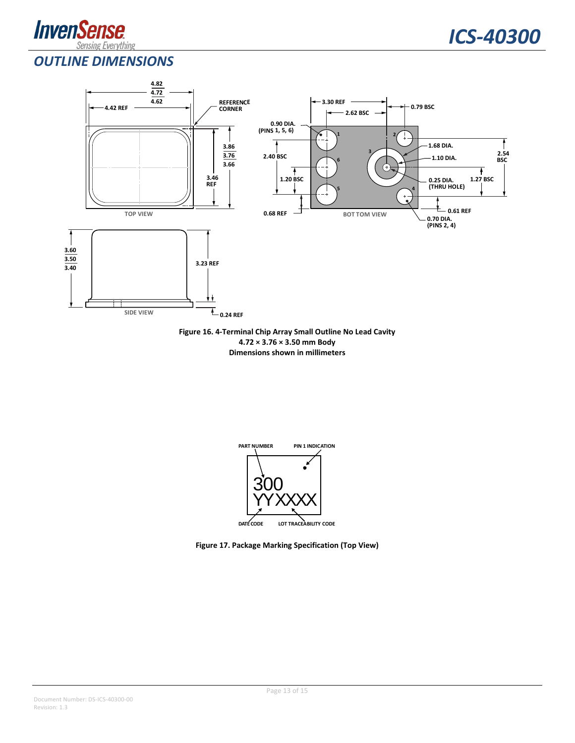



### <span id="page-12-0"></span>*OUTLINE DIMENSIONS*



**Figure 16. 4-Terminal Chip Array Small Outline No Lead Cavity 4.72 × 3.76 × 3.50 mm Body Dimensions shown in millimeters**



**Figure 17. Package Marking Specification (Top View)**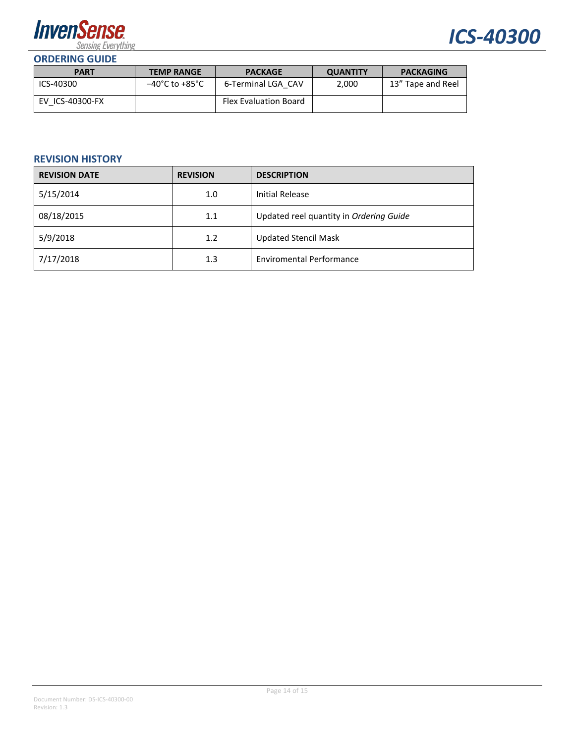



<span id="page-13-0"></span>

| <b>PART</b>     | <b>TEMP RANGE</b>                  | <b>PACKAGE</b>               | <b>QUANTITY</b> | <b>PACKAGING</b>  |
|-----------------|------------------------------------|------------------------------|-----------------|-------------------|
| ICS-40300       | $-40^{\circ}$ C to $+85^{\circ}$ C | 6-Terminal LGA CAV           | 2.000           | 13" Tape and Reel |
| EV ICS-40300-FX |                                    | <b>Flex Evaluation Board</b> |                 |                   |

#### <span id="page-13-1"></span>**REVISION HISTORY**

| <b>REVISION DATE</b> | <b>REVISION</b> | <b>DESCRIPTION</b>                      |
|----------------------|-----------------|-----------------------------------------|
| 5/15/2014            | 1.0             | <b>Initial Release</b>                  |
| 08/18/2015           | 1.1             | Updated reel quantity in Ordering Guide |
| 5/9/2018             | 1.2             | <b>Updated Stencil Mask</b>             |
| 7/17/2018            | 1.3             | <b>Enviromental Performance</b>         |